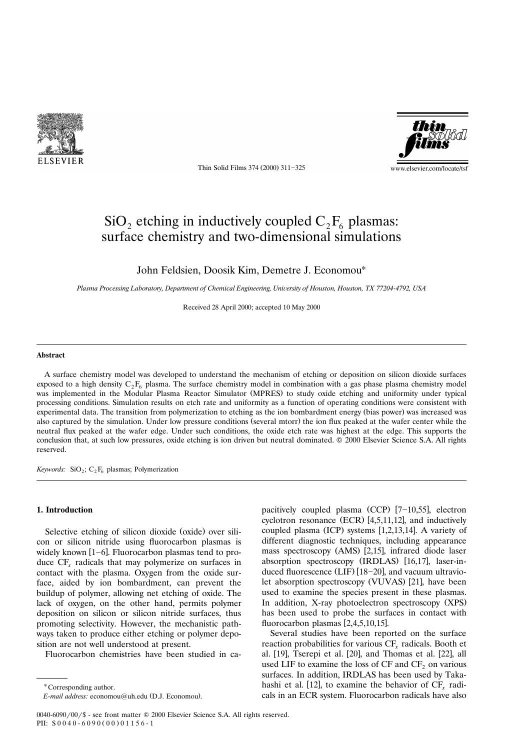

Thin Solid Films 374 (2000) 311-325



# $\rm SiO_2$  etching in inductively coupled  $\rm C_2F_6$  plasmas: surface chemistry and two-dimensional simulations

John Feldsien, Doosik Kim, Demetre J. Economou\*

*Plasma Processing Laboratory, Department of Chemical Engineering, University of Houston, Houston, TX 77204-4792, USA* 

Received 28 April 2000; accepted 10 May 2000

#### **Abstract**

A surface chemistry model was developed to understand the mechanism of etching or deposition on silicon dioxide surfaces exposed to a high density  $C_2F_6$  plasma. The surface chemistry model in combination with a gas phase plasma chemistry model was implemented in the Modular Plasma Reactor Simulator (MPRES) to study oxide etching and uniformity under typical processing conditions. Simulation results on etch rate and uniformity as a function of operating conditions were consistent with experimental data. The transition from polymerization to etching as the ion bombardment energy (bias power) was increased was also captured by the simulation. Under low pressure conditions (several mtorr) the ion flux peaked at the wafer center while the neutral flux peaked at the wafer edge. Under such conditions, the oxide etch rate was highest at the edge. This supports the conclusion that, at such low pressures, oxide etching is ion driven but neutral dominated. © 2000 Elsevier Science S.A. All rights reserved.

*Keywords:* SiO<sub>2</sub>; C<sub>2</sub> $F_6$  plasmas; Polymerization

# **1. Introduction**

Selective etching of silicon dioxide (oxide) over silicon or silicon nitride using fluorocarbon plasmas is widely known  $[1-6]$ . Fluorocarbon plasmas tend to produce CF<sub>r</sub> radicals that may polymerize on surfaces in contact with the plasma. Oxygen from the oxide surface, aided by ion bombardment, can prevent the buildup of polymer, allowing net etching of oxide. The lack of oxygen, on the other hand, permits polymer deposition on silicon or silicon nitride surfaces, thus promoting selectivity. However, the mechanistic pathways taken to produce either etching or polymer deposition are not well understood at present.

Fluorocarbon chemistries have been studied in ca-

\* Corresponding author.

pacitively coupled plasma  $(CCP)$  [7-10,55], electron cyclotron resonance  $(ECR)$  [4,5,11,12], and inductively coupled plasma  $(ICP)$  systems  $[1,2,13,14]$ . A variety of different diagnostic techniques, including appearance mass spectroscopy (AMS) [2,15], infrared diode laser absorption spectroscopy (IRDLAS) [16,17], laser-induced fluorescence (LIF)  $[18-20]$ , and vacuum ultraviolet absorption spectroscopy (VUVAS) [21], have been used to examine the species present in these plasmas. In addition, X-ray photoelectron spectroscopy (XPS) has been used to probe the surfaces in contact with fluorocarbon plasmas  $[2,4,5,10,15]$ .

Several studies have been reported on the surface reaction probabilities for various CF<sub>r</sub> radicals. Booth et al.  $[19]$ , Tserepi et al.  $[20]$ , and Thomas et al.  $[22]$ , all used LIF to examine the loss of  $CF$  and  $CF$ , on various surfaces. In addition, IRDLAS has been used by Takahashi et al. [12], to examine the behavior of  $CF<sub>r</sub>$  radicals in an ECR system. Fluorocarbon radicals have also

*E-mail address:* economou@uh.edu (D.J. Economou).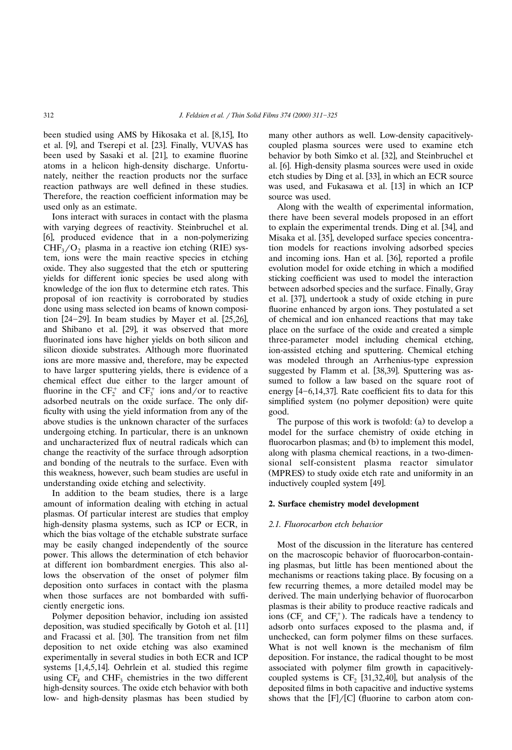been studied using AMS by Hikosaka et al. [8,15]. Ito et al. [9], and Tserepi et al. [23]. Finally, VUVAS has been used by Sasaki et al. [21], to examine fluorine atoms in a helicon high-density discharge. Unfortunately, neither the reaction products nor the surface reaction pathways are well defined in these studies. Therefore, the reaction coefficient information may be used only as an estimate.

Ions interact with suraces in contact with the plasma with varying degrees of reactivity. Steinbruchel et al. [6], produced evidence that in a non-polymerizing  $CHF<sub>3</sub>/O<sub>2</sub>$  plasma in a reactive ion etching (RIE) system, ions were the main reactive species in etching oxide. They also suggested that the etch or sputtering yields for different ionic species be used along with knowledge of the ion flux to determine etch rates. This proposal of ion reactivity is corroborated by studies done using mass selected ion beams of known composition  $[24-29]$ . In beam studies by Mayer et al.  $[25,26]$ , and Shibano et al. [29], it was observed that more fluorinated ions have higher yields on both silicon and silicon dioxide substrates. Although more fluorinated ions are more massive and, therefore, may be expected to have larger sputtering yields, there is evidence of a chemical effect due either to the larger amount of fluorine in the  $CF_2^+$  and  $CF_3^+$  ions and/or to reactive adsorbed neutrals on the oxide surface. The only difficulty with using the yield information from any of the above studies is the unknown character of the surfaces undergoing etching. In particular, there is an unknown and uncharacterized flux of neutral radicals which can change the reactivity of the surface through adsorption and bonding of the neutrals to the surface. Even with this weakness, however, such beam studies are useful in understanding oxide etching and selectivity.

In addition to the beam studies, there is a large amount of information dealing with etching in actual plasmas. Of particular interest are studies that employ high-density plasma systems, such as ICP or ECR, in which the bias voltage of the etchable substrate surface may be easily changed independently of the source power. This allows the determination of etch behavior at different ion bombardment energies. This also allows the observation of the onset of polymer film deposition onto surfaces in contact with the plasma when those surfaces are not bombarded with sufficiently energetic ions.

Polymer deposition behavior, including ion assisted deposition, was studied specifically by Gotoh et al. [11] and Fracassi et al. [30]. The transition from net film deposition to net oxide etching was also examined experimentally in several studies in both ECR and ICP systems  $[1,4,5,14]$ . Oehrlein et al. studied this regime using  $CF_4$  and  $CHF_3$  chemistries in the two different high-density sources. The oxide etch behavior with both low- and high-density plasmas has been studied by many other authors as well. Low-density capacitivelycoupled plasma sources were used to examine etch behavior by both Simko et al. [32], and Steinbruchel et al. [6]. High-density plasma sources were used in oxide etch studies by Ding et al. [33], in which an ECR source was used, and Fukasawa et al. [13] in which an ICP source was used.

Along with the wealth of experimental information, there have been several models proposed in an effort to explain the experimental trends. Ding et al. [34], and Misaka et al. [35], developed surface species concentration models for reactions involving adsorbed species and incoming ions. Han et al. [36], reported a profile evolution model for oxide etching in which a modified sticking coefficient was used to model the interaction between adsorbed species and the surface. Finally, Gray et al. [37], undertook a study of oxide etching in pure fluorine enhanced by argon ions. They postulated a set of chemical and ion enhanced reactions that may take place on the surface of the oxide and created a simple three-parameter model including chemical etching, ion-assisted etching and sputtering. Chemical etching was modeled through an Arrhenius-type expression suggested by Flamm et al. [38,39]. Sputtering was assumed to follow a law based on the square root of energy  $[4-6,14,37]$ . Rate coefficient fits to data for this simplified system (no polymer deposition) were quite good.

The purpose of this work is twofold:  $(a)$  to develop a model for the surface chemistry of oxide etching in fluorocarbon plasmas; and (b) to implement this model, along with plasma chemical reactions, in a two-dimensional self-consistent plasma reactor simulator (MPRES) to study oxide etch rate and uniformity in an inductively coupled system [49].

# **2. Surface chemistry model development**

#### *2.1. Fluorocarbon etch beha*¨*ior*

Most of the discussion in the literature has centered on the macroscopic behavior of fluorocarbon-containing plasmas, but little has been mentioned about the mechanisms or reactions taking place. By focusing on a few recurring themes, a more detailed model may be derived. The main underlying behavior of fluorocarbon plasmas is their ability to produce reactive radicals and ions ( $CF<sub>r</sub>$  and  $CF<sub>r</sub>$ <sup>+</sup>). The radicals have a tendency to adsorb onto surfaces exposed to the plasma and, if unchecked, can form polymer films on these surfaces. What is not well known is the mechanism of film deposition. For instance, the radical thought to be most associated with polymer film growth in capacitivelycoupled systems is  $CF<sub>2</sub>$  [31,32,40], but analysis of the deposited films in both capacitive and inductive systems shows that the  $[F]/[C]$  (fluorine to carbon atom con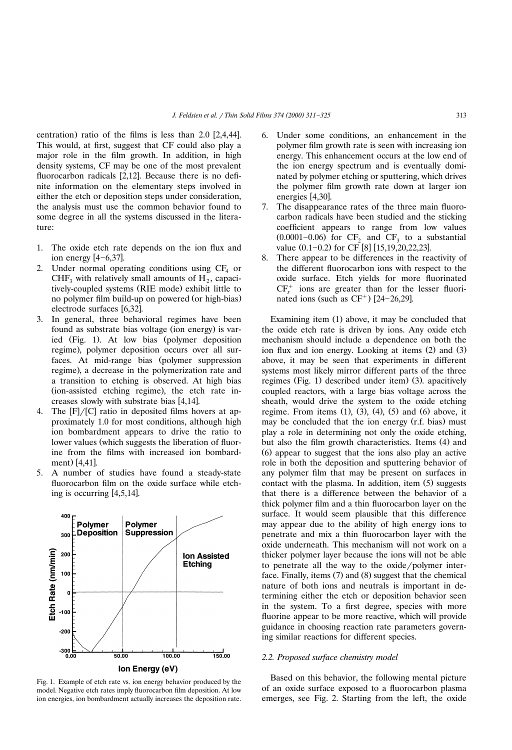centration) ratio of the films is less than  $2.0$  [2,4,44]. This would, at first, suggest that CF could also play a major role in the film growth. In addition, in high density systems, CF may be one of the most prevalent fluorocarbon radicals  $[2,12]$ . Because there is no definite information on the elementary steps involved in either the etch or deposition steps under consideration, the analysis must use the common behavior found to some degree in all the systems discussed in the literature:

- 1. The oxide etch rate depends on the ion flux and ion energy  $[4-6,37]$ .
- 2. Under normal operating conditions using  $CF_4$  or CHF, with relatively small amounts of  $H_2$ , capacitively-coupled systems (RIE mode) exhibit little to no polymer film build-up on powered (or high-bias) electrode surfaces [6,32].
- 3. In general, three behavioral regimes have been found as substrate bias voltage (ion energy) is varied (Fig. 1). At low bias (polymer deposition regime), polymer deposition occurs over all surfaces. At mid-range bias (polymer suppression regime), a decrease in the polymerization rate and a transition to etching is observed. At high bias (ion-assisted etching regime), the etch rate increases slowly with substrate bias  $[4,14]$ .
- 4. The  $[F]/[C]$  ratio in deposited films hovers at approximately 1.0 for most conditions, although high ion bombardment appears to drive the ratio to lower values (which suggests the liberation of fluorine from the films with increased ion bombardment) [4,41].
- 5. A number of studies have found a steady-state fluorocarbon film on the oxide surface while etching is occurring  $[4,5,14]$ .



Fig. 1. Example of etch rate vs. ion energy behavior produced by the model. Negative etch rates imply fluorocarbon film deposition. At low ion energies, ion bombardment actually increases the deposition rate.

- 6. Under some conditions, an enhancement in the polymer film growth rate is seen with increasing ion energy. This enhancement occurs at the low end of the ion energy spectrum and is eventually dominated by polymer etching or sputtering, which drives the polymer film growth rate down at larger ion energies [4,30].
- 7. The disappearance rates of the three main fluorocarbon radicals have been studied and the sticking coefficient appears to range from low values  $(0.0001 - 0.06)$  for CF<sub>2</sub> and CF<sub>3</sub> to a substantial value  $(0.1 - 0.2)$  for CF [8] [15,19,20,22,23].
- 8. There appear to be differences in the reactivity of the different fluorocarbon ions with respect to the oxide surface. Etch yields for more fluorinated  $CF<sub>r</sub><sup>+</sup>$  ions are greater than for the lesser fluorinated ions (such as  $CF<sup>+</sup>$ ) [24-26,29].

Examining item  $(1)$  above, it may be concluded that the oxide etch rate is driven by ions. Any oxide etch mechanism should include a dependence on both the ion flux and ion energy. Looking at items  $(2)$  and  $(3)$ above, it may be seen that experiments in different systems most likely mirror different parts of the three regimes (Fig. 1) described under item  $(3)$ . apacitively coupled reactors, with a large bias voltage across the sheath, would drive the system to the oxide etching regime. From items  $(1)$ ,  $(3)$ ,  $(4)$ ,  $(5)$  and  $(6)$  above, it may be concluded that the ion energy (r.f. bias) must play a role in determining not only the oxide etching, but also the film growth characteristics. Items (4) and Ž . 6 appear to suggest that the ions also play an active role in both the deposition and sputtering behavior of any polymer film that may be present on surfaces in contact with the plasma. In addition, item  $(5)$  suggests that there is a difference between the behavior of a thick polymer film and a thin fluorocarbon layer on the surface. It would seem plausible that this difference may appear due to the ability of high energy ions to penetrate and mix a thin fluorocarbon layer with the oxide underneath. This mechanism will not work on a thicker polymer layer because the ions will not be able to penetrate all the way to the oxide/polymer interface. Finally, items  $(7)$  and  $(8)$  suggest that the chemical nature of both ions and neutrals is important in determining either the etch or deposition behavior seen in the system. To a first degree, species with more fluorine appear to be more reactive, which will provide guidance in choosing reaction rate parameters governing similar reactions for different species.

# *2.2. Proposed surface chemistry model*

Based on this behavior, the following mental picture of an oxide surface exposed to a fluorocarbon plasma emerges, see Fig. 2. Starting from the left, the oxide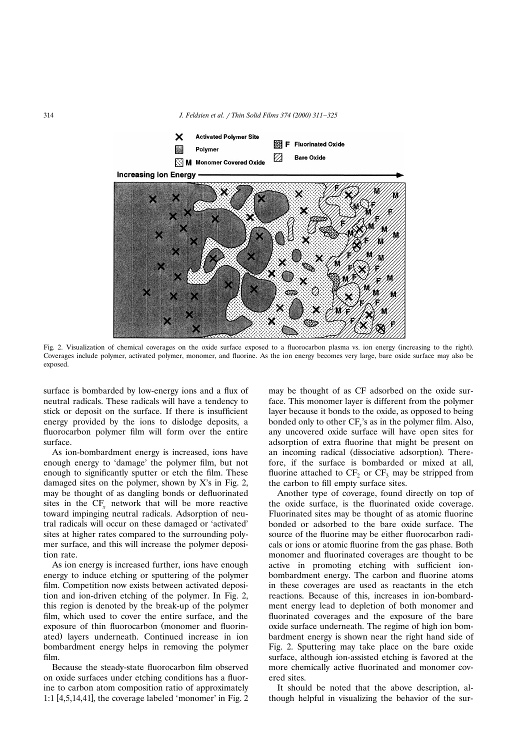

Fig. 2. Visualization of chemical coverages on the oxide surface exposed to a fluorocarbon plasma vs. ion energy (increasing to the right). Coverages include polymer, activated polymer, monomer, and fluorine. As the ion energy becomes very large, bare oxide surface may also be exposed.

surface is bombarded by low-energy ions and a flux of neutral radicals. These radicals will have a tendency to stick or deposit on the surface. If there is insufficient energy provided by the ions to dislodge deposits, a fluorocarbon polymer film will form over the entire surface.

As ion-bombardment energy is increased, ions have enough energy to 'damage' the polymer film, but not enough to significantly sputter or etch the film. These damaged sites on the polymer, shown by X's in Fig. 2, may be thought of as dangling bonds or defluorinated sites in the  $CF<sub>x</sub>$  network that will be more reactive toward impinging neutral radicals. Adsorption of neutral radicals will occur on these damaged or 'activated' sites at higher rates compared to the surrounding polymer surface, and this will increase the polymer deposition rate.

As ion energy is increased further, ions have enough energy to induce etching or sputtering of the polymer film. Competition now exists between activated deposition and ion-driven etching of the polymer. In Fig. 2, this region is denoted by the break-up of the polymer film, which used to cover the entire surface, and the exposure of thin fluorocarbon (monomer and fluorinated) layers underneath. Continued increase in ion bombardment energy helps in removing the polymer film.

Because the steady-state fluorocarbon film observed on oxide surfaces under etching conditions has a fluorine to carbon atom composition ratio of approximately 1:1  $[4,5,14,41]$ , the coverage labeled 'monomer' in Fig. 2

may be thought of as CF adsorbed on the oxide surface. This monomer layer is different from the polymer layer because it bonds to the oxide, as opposed to being bonded only to other CF<sub>x</sub>'s as in the polymer film. Also, any uncovered oxide surface will have open sites for adsorption of extra fluorine that might be present on an incoming radical (dissociative adsorption). Therefore, if the surface is bombarded or mixed at all, fluorine attached to  $CF<sub>2</sub>$  or  $CF<sub>3</sub>$  may be stripped from the carbon to fill empty surface sites.

Another type of coverage, found directly on top of the oxide surface, is the fluorinated oxide coverage. Fluorinated sites may be thought of as atomic fluorine bonded or adsorbed to the bare oxide surface. The source of the fluorine may be either fluorocarbon radicals or ions or atomic fluorine from the gas phase. Both monomer and fluorinated coverages are thought to be active in promoting etching with sufficient ionbombardment energy. The carbon and fluorine atoms in these coverages are used as reactants in the etch reactions. Because of this, increases in ion-bombardment energy lead to depletion of both monomer and fluorinated coverages and the exposure of the bare oxide surface underneath. The regime of high ion bombardment energy is shown near the right hand side of Fig. 2. Sputtering may take place on the bare oxide surface, although ion-assisted etching is favored at the more chemically active fluorinated and monomer covered sites.

It should be noted that the above description, although helpful in visualizing the behavior of the sur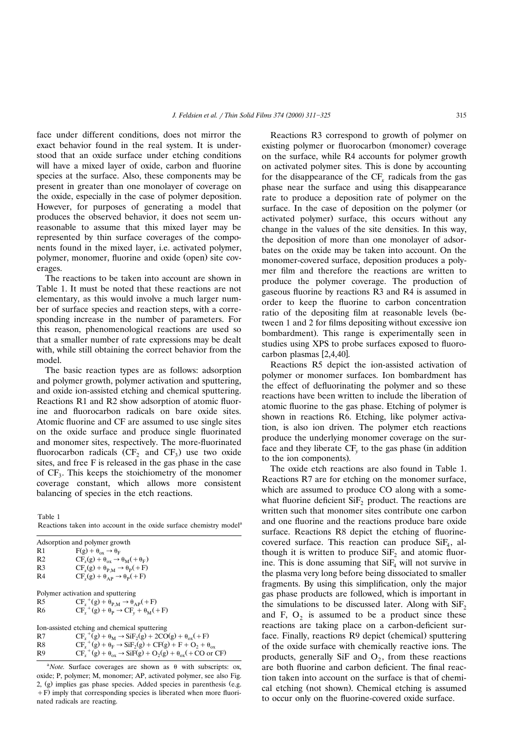face under different conditions, does not mirror the exact behavior found in the real system. It is understood that an oxide surface under etching conditions will have a mixed layer of oxide, carbon and fluorine species at the surface. Also, these components may be present in greater than one monolayer of coverage on the oxide, especially in the case of polymer deposition. However, for purposes of generating a model that produces the observed behavior, it does not seem unreasonable to assume that this mixed layer may be represented by thin surface coverages of the components found in the mixed layer, i.e. activated polymer, polymer, monomer, fluorine and oxide (open) site coverages.

The reactions to be taken into account are shown in Table 1. It must be noted that these reactions are not elementary, as this would involve a much larger number of surface species and reaction steps, with a corresponding increase in the number of parameters. For this reason, phenomenological reactions are used so that a smaller number of rate expressions may be dealt with, while still obtaining the correct behavior from the model.

The basic reaction types are as follows: adsorption and polymer growth, polymer activation and sputtering, and oxide ion-assisted etching and chemical sputtering. Reactions R1 and R2 show adsorption of atomic fluorine and fluorocarbon radicals on bare oxide sites. Atomic fluorine and CF are assumed to use single sites on the oxide surface and produce single fluorinated and monomer sites, respectively. The more-fluorinated fluorocarbon radicals  $(CF_2$  and  $CF_3$ ) use two oxide sites, and free F is released in the gas phase in the case of  $CF_3$ . This keeps the stoichiometry of the monomer coverage constant, which allows more consistent balancing of species in the etch reactions.

Table 1 Reactions taken into account in the oxide surface chemistry model<sup>a</sup>

Adsorption and polymer growth

| R <sub>1</sub>                               | $F(g) + \theta_{ox} \rightarrow \theta_F$                                                 |  |
|----------------------------------------------|-------------------------------------------------------------------------------------------|--|
| R <sub>2</sub>                               | $CF_r(g) + \theta_{ox} \rightarrow \theta_M(+\theta_F)$                                   |  |
| R <sub>3</sub>                               | $CF_x(g) + \theta_{P.M} \rightarrow \theta_P(+F)$                                         |  |
| R4                                           | $CF_r(g) + \theta_{AP} \rightarrow \theta_P(+F)$                                          |  |
|                                              |                                                                                           |  |
| Polymer activation and sputtering            |                                                                                           |  |
| R5                                           | $CF_x^+(g) + \theta_{P,M} \rightarrow \theta_{AP}(+F)$                                    |  |
| R6                                           | $CF_x^+(g) + \theta_P \rightarrow CF_v + \theta_M(+F)$                                    |  |
|                                              |                                                                                           |  |
| Ion-assisted etching and chemical sputtering |                                                                                           |  |
| R7                                           | $CF_r^+(g) + \theta_M \rightarrow \overline{SIF}_2(g) + 2CO(g) + \theta_{ox}(+F)$         |  |
| R8                                           | $CFx+(g) + \thetaF \rightarrow SiF2(g) + CF(g) + F + O2 + \thetaox$                       |  |
| R9                                           | $CF_r^+(g) + \theta_{ox} \rightarrow SiF(g) + O_2(g) + \theta_{ox} (+ CO \text{ or } CF)$ |  |
|                                              |                                                                                           |  |

<sup>a</sup>Note. Surface coverages are shown as  $\theta$  with subscripts: ox, oxide; P, polymer; M, monomer; AP, activated polymer, see also Fig. 2,  $(g)$  implies gas phase species. Added species in parenthesis (e.g.  $\pm$  F) imply that corresponding species is liberated when more fluorinated radicals are reacting.

Reactions R3 correspond to growth of polymer on existing polymer or fluorocarbon (monomer) coverage on the surface, while R4 accounts for polymer growth on activated polymer sites. This is done by accounting for the disappearance of the CF<sub>r</sub> radicals from the gas phase near the surface and using this disappearance rate to produce a deposition rate of polymer on the surface. In the case of deposition on the polymer (or activated polymer) surface, this occurs without any change in the values of the site densities. In this way, the deposition of more than one monolayer of adsorbates on the oxide may be taken into account. On the monomer-covered surface, deposition produces a polymer film and therefore the reactions are written to produce the polymer coverage. The production of gaseous fluorine by reactions R3 and R4 is assumed in order to keep the fluorine to carbon concentration ratio of the depositing film at reasonable levels (between 1 and 2 for films depositing without excessive ion bombardment). This range is experimentally seen in studies using XPS to probe surfaces exposed to fluorocarbon plasmas  $[2,4,40]$ .

Reactions R5 depict the ion-assisted activation of polymer or monomer surfaces. Ion bombardment has the effect of defluorinating the polymer and so these reactions have been written to include the liberation of atomic fluorine to the gas phase. Etching of polymer is shown in reactions R6. Etching, like polymer activation, is also ion driven. The polymer etch reactions produce the underlying monomer coverage on the surface and they liberate CF<sub>*v*</sub> to the gas phase (in addition to the ion components).

The oxide etch reactions are also found in Table 1. Reactions R7 are for etching on the monomer surface, which are assumed to produce CO along with a somewhat fluorine deficient  $\text{SiF}_2$  product. The reactions are written such that monomer sites contribute one carbon and one fluorine and the reactions produce bare oxide surface. Reactions R8 depict the etching of fluorinecovered surface. This reaction can produce  $SiF<sub>4</sub>$ , although it is written to produce  $\overline{\text{SiF}}_2$  and atomic fluorine. This is done assuming that  $SiF_4$  will not survive in the plasma very long before being dissociated to smaller fragments. By using this simplification, only the major gas phase products are followed, which is important in the simulations to be discussed later. Along with  $\text{SiF}_2$ and F,  $O_2$  is assumed to be a product since these reactions are taking place on a carbon-deficient surface. Finally, reactions R9 depict (chemical) sputtering of the oxide surface with chemically reactive ions. The products, generally SiF and  $O_2$ , from these reactions are both fluorine and carbon deficient. The final reaction taken into account on the surface is that of chemical etching (not shown). Chemical etching is assumed to occur only on the fluorine-covered oxide surface.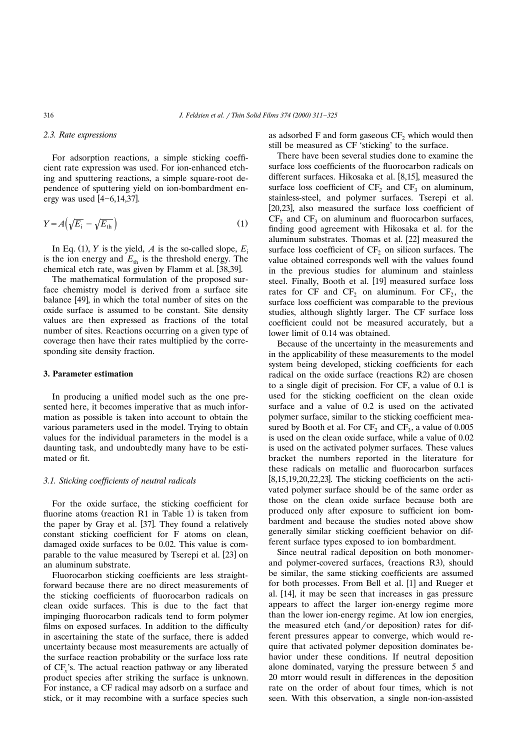#### *2.3. Rate expressions*

For adsorption reactions, a simple sticking coefficient rate expression was used. For ion-enhanced etching and sputtering reactions, a simple square-root dependence of sputtering yield on ion-bombardment energy was used  $[4-6,14,37]$ .

$$
Y = A\left(\sqrt{E_{\rm i}} - \sqrt{E_{\rm th}}\right) \tag{1}
$$

In Eq. (1),  $Y$  is the yield,  $A$  is the so-called slope,  $E_i$ is the ion energy and  $E_{\text{th}}$  is the threshold energy. The chemical etch rate, was given by Flamm et al. [38,39].

The mathematical formulation of the proposed surface chemistry model is derived from a surface site balance [49], in which the total number of sites on the oxide surface is assumed to be constant. Site density values are then expressed as fractions of the total number of sites. Reactions occurring on a given type of coverage then have their rates multiplied by the corresponding site density fraction.

# **3. Parameter estimation**

In producing a unified model such as the one presented here, it becomes imperative that as much information as possible is taken into account to obtain the various parameters used in the model. Trying to obtain values for the individual parameters in the model is a daunting task, and undoubtedly many have to be estimated or fit.

#### *3.1. Sticking coefficients of neutral radicals*

For the oxide surface, the sticking coefficient for fluorine atoms (reaction R1 in Table 1) is taken from the paper by Gray et al. [37]. They found a relatively constant sticking coefficient for F atoms on clean, damaged oxide surfaces to be 0.02. This value is comparable to the value measured by Tserepi et al. [23] on an aluminum substrate.

Fluorocarbon sticking coefficients are less straightforward because there are no direct measurements of the sticking coefficients of fluorocarbon radicals on clean oxide surfaces. This is due to the fact that impinging fluorocarbon radicals tend to form polymer films on exposed surfaces. In addition to the difficulty in ascertaining the state of the surface, there is added uncertainty because most measurements are actually of the surface reaction probability or the surface loss rate of CF<sub>x</sub>'s. The actual reaction pathway or any liberated product species after striking the surface is unknown. For instance, a CF radical may adsorb on a surface and stick, or it may recombine with a surface species such as adsorbed F and form gaseous  $CF<sub>2</sub>$  which would then still be measured as CF 'sticking' to the surface.

There have been several studies done to examine the surface loss coefficients of the fluorocarbon radicals on different surfaces. Hikosaka et al.  $[8,15]$ , measured the surface loss coefficient of  $CF<sub>2</sub>$  and  $CF<sub>3</sub>$  on aluminum, stainless-steel, and polymer surfaces. Tserepi et al.  $[20,23]$ , also measured the surface loss coefficient of  $CF<sub>2</sub>$  and  $CF<sub>3</sub>$  on aluminum and fluorocarbon surfaces, finding good agreement with Hikosaka et al. for the aluminum substrates. Thomas et al. [22] measured the surface loss coefficient of  $CF<sub>2</sub>$  on silicon surfaces. The value obtained corresponds well with the values found in the previous studies for aluminum and stainless steel. Finally, Booth et al. [19] measured surface loss rates for CF and  $CF_2$  on aluminum. For  $CF_2$ , the surface loss coefficient was comparable to the previous studies, although slightly larger. The CF surface loss coefficient could not be measured accurately, but a lower limit of 0.14 was obtained.

Because of the uncertainty in the measurements and in the applicability of these measurements to the model system being developed, sticking coefficients for each radical on the oxide surface (reactions R2) are chosen to a single digit of precision. For CF, a value of 0.1 is used for the sticking coefficient on the clean oxide surface and a value of 0.2 is used on the activated polymer surface, similar to the sticking coefficient measured by Booth et al. For  $CF_2$  and  $CF_3$ , a value of 0.005 is used on the clean oxide surface, while a value of 0.02 is used on the activated polymer surfaces. These values bracket the numbers reported in the literature for these radicals on metallic and fluorocarbon surfaces  $[8,15,19,20,22,23]$ . The sticking coefficients on the activated polymer surface should be of the same order as those on the clean oxide surface because both are produced only after exposure to sufficient ion bombardment and because the studies noted above show generally similar sticking coefficient behavior on different surface types exposed to ion bombardment.

Since neutral radical deposition on both monomerand polymer-covered surfaces, (reactions R3), should be similar, the same sticking coefficients are assumed for both processes. From Bell et al. [1] and Rueger et al.  $[14]$ , it may be seen that increases in gas pressure appears to affect the larger ion-energy regime more than the lower ion-energy regime. At low ion energies, the measured etch (and/or deposition) rates for different pressures appear to converge, which would require that activated polymer deposition dominates behavior under these conditions. If neutral deposition alone dominated, varying the pressure between 5 and 20 mtorr would result in differences in the deposition rate on the order of about four times, which is not seen. With this observation, a single non-ion-assisted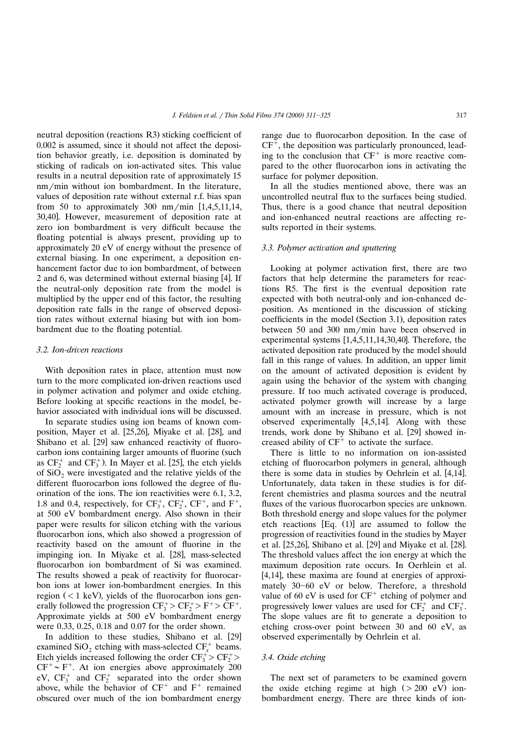neutral deposition (reactions R3) sticking coefficient of 0.002 is assumed, since it should not affect the deposition behavior greatly, i.e. deposition is dominated by sticking of radicals on ion-activated sites. This value results in a neutral deposition rate of approximately 15 nm/min without ion bombardment. In the literature, values of deposition rate without external r.f. bias span from 50 to approximately 300 nm/min  $[1,4,5,11,14,$ 30,40. However, measurement of deposition rate at zero ion bombardment is very difficult because the floating potential is always present, providing up to approximately 20 eV of energy without the presence of external biasing. In one experiment, a deposition enhancement factor due to ion bombardment, of between 2 and 6, was determined without external biasing  $[4]$ . If the neutral-only deposition rate from the model is multiplied by the upper end of this factor, the resulting deposition rate falls in the range of observed deposition rates without external biasing but with ion bombardment due to the floating potential.

# *3.2. Ion-dri*¨*en reactions*

With deposition rates in place, attention must now turn to the more complicated ion-driven reactions used in polymer activation and polymer and oxide etching. Before looking at specific reactions in the model, behavior associated with individual ions will be discussed.

In separate studies using ion beams of known composition, Mayer et al. [25,26], Miyake et al. [28], and Shibano et al. [29] saw enhanced reactivity of fluorocarbon ions containing larger amounts of fluorine (such as  $CF_2^+$  and  $CF_3^+$ ). In Mayer et al. [25], the etch yields of  $SiO<sub>2</sub>$  were investigated and the relative yields of the different fluorocarbon ions followed the degree of fluorination of the ions. The ion reactivities were 6.1, 3.2, 1.8 and 0.4, respectively, for  $CF_3^+$ ,  $CF_2^+$ ,  $CF^+$ , and  $F^+$ , at 500 eV bombardment energy. Also shown in their paper were results for silicon etching with the various fluorocarbon ions, which also showed a progression of reactivity based on the amount of fluorine in the impinging ion. In Miyake et al. [28], mass-selected fluorocarbon ion bombardment of Si was examined. The results showed a peak of reactivity for fluorocarbon ions at lower ion-bombardment energies. In this region  $(< 1 \text{ keV})$ , yields of the fluorocarbon ions generally followed the progression  $CF_3^+ > CF_2^+ > F^+ > CF^+$ . Approximate yields at 500 eV bombardment energy were 0.33, 0.25, 0.18 and 0.07 for the order shown.

In addition to these studies, Shibano et al. [29] examined  $SiO_2$  etching with mass-selected  $CF<sub>x</sub><sup>+</sup>$  beams. Etch yields increased following the order  $CF_3^+ > CF_2^+$  $CF^+ \sim F^+$ . At ion energies above approximately 200 eV,  $CF_3^+$  and  $CF_2^+$  separated into the order shown above, while the behavior of  $CF^+$  and  $F^+$  remained obscured over much of the ion bombardment energy range due to fluorocarbon deposition. In the case of  $CF<sup>+</sup>$ , the deposition was particularly pronounced, leading to the conclusion that  $CF<sup>+</sup>$  is more reactive compared to the other fluorocarbon ions in activating the surface for polymer deposition.

In all the studies mentioned above, there was an uncontrolled neutral flux to the surfaces being studied. Thus, there is a good chance that neutral deposition and ion-enhanced neutral reactions are affecting results reported in their systems.

# *3.3. Polymer acti*¨*ation and sputtering*

Looking at polymer activation first, there are two factors that help determine the parameters for reactions R5. The first is the eventual deposition rate expected with both neutral-only and ion-enhanced deposition. As mentioned in the discussion of sticking coefficients in the model (Section 3.1), deposition rates between 50 and 300 nm/min have been observed in experimental systems  $[1,4,5,11,14,30,40]$ . Therefore, the activated deposition rate produced by the model should fall in this range of values. In addition, an upper limit on the amount of activated deposition is evident by again using the behavior of the system with changing pressure. If too much activated coverage is produced, activated polymer growth will increase by a large amount with an increase in pressure, which is not observed experimentally  $[4,5,14]$ . Along with these trends, work done by Shibano et al. [29] showed increased ability of  $CF<sup>+</sup>$  to activate the surface.

There is little to no information on ion-assisted etching of fluorocarbon polymers in general, although there is some data in studies by Oehrlein et al. [4,14]. Unfortunately, data taken in these studies is for different chemistries and plasma sources and the neutral fluxes of the various fluorocarbon species are unknown. Both threshold energy and slope values for the polymer etch reactions  $[Eq. (1)]$  are assumed to follow the progression of reactivities found in the studies by Mayer et al.  $[25,26]$ , Shibano et al.  $[29]$  and Miyake et al.  $[28]$ . The threshold values affect the ion energy at which the maximum deposition rate occurs. In Oerhlein et al.  $[4,14]$ , these maxima are found at energies of approximately  $30-60$  eV or below. Therefore, a threshold value of 60 eV is used for  $CF^+$  etching of polymer and progressively lower values are used for  $CF_2^+$  and  $CF_3^+$ . The slope values are fit to generate a deposition to etching cross-over point between 30 and 60 eV, as observed experimentally by Oehrlein et al.

# *3.4. Oxide etching*

The next set of parameters to be examined govern the oxide etching regime at high  $(> 200 \text{ eV})$  ionbombardment energy. There are three kinds of ion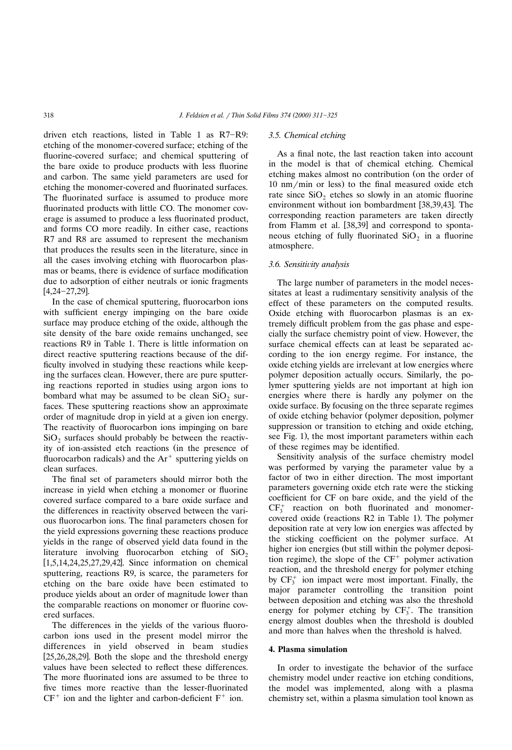driven etch reactions, listed in Table 1 as  $R7-R9$ : etching of the monomer-covered surface; etching of the fluorine-covered surface; and chemical sputtering of the bare oxide to produce products with less fluorine and carbon. The same yield parameters are used for etching the monomer-covered and fluorinated surfaces. The fluorinated surface is assumed to produce more fluorinated products with little CO. The monomer coverage is assumed to produce a less fluorinated product, and forms CO more readily. In either case, reactions R7 and R8 are assumed to represent the mechanism that produces the results seen in the literature, since in all the cases involving etching with fluorocarbon plasmas or beams, there is evidence of surface modification due to adsorption of either neutrals or ionic fragments  $[4, 24 - 27, 29]$ .

In the case of chemical sputtering, fluorocarbon ions with sufficient energy impinging on the bare oxide surface may produce etching of the oxide, although the site density of the bare oxide remains unchanged, see reactions R9 in Table 1. There is little information on direct reactive sputtering reactions because of the difficulty involved in studying these reactions while keeping the surfaces clean. However, there are pure sputtering reactions reported in studies using argon ions to bombard what may be assumed to be clean  $SiO<sub>2</sub>$  surfaces. These sputtering reactions show an approximate order of magnitude drop in yield at a given ion energy. The reactivity of fluorocarbon ions impinging on bare  $SiO<sub>2</sub>$  surfaces should probably be between the reactivity of ion-assisted etch reactions (in the presence of fluorocarbon radicals) and the  $Ar^+$  sputtering yields on clean surfaces.

The final set of parameters should mirror both the increase in yield when etching a monomer or fluorine covered surface compared to a bare oxide surface and the differences in reactivity observed between the various fluorocarbon ions. The final parameters chosen for the yield expressions governing these reactions produce yields in the range of observed yield data found in the literature involving fluorocarbon etching of  $SiO<sub>2</sub>$  $[1,5,14,24,25,27,29,42]$ . Since information on chemical sputtering, reactions R9, is scarce, the parameters for etching on the bare oxide have been estimated to produce yields about an order of magnitude lower than the comparable reactions on monomer or fluorine covered surfaces.

The differences in the yields of the various fluorocarbon ions used in the present model mirror the differences in yield observed in beam studies  $[25,26,28,29]$ . Both the slope and the threshold energy values have been selected to reflect these differences. The more fluorinated ions are assumed to be three to five times more reactive than the lesser-fluorinated  $CF<sup>+</sup>$  ion and the lighter and carbon-deficient  $F<sup>+</sup>$  ion.

#### *3.5. Chemical etching*

As a final note, the last reaction taken into account in the model is that of chemical etching. Chemical etching makes almost no contribution (on the order of  $10 \text{ nm/min}$  or less) to the final measured oxide etch rate since  $SiO<sub>2</sub>$  etches so slowly in an atomic fluorine environment without ion bombardment [38,39,43]. The corresponding reaction parameters are taken directly from Flamm et al. [38,39] and correspond to spontaneous etching of fully fluorinated  $SiO<sub>2</sub>$  in a fluorine atmosphere.

# *3.6. Sensiti*¨*ity analysis*

The large number of parameters in the model necessitates at least a rudimentary sensitivity analysis of the effect of these parameters on the computed results. Oxide etching with fluorocarbon plasmas is an extremely difficult problem from the gas phase and especially the surface chemistry point of view. However, the surface chemical effects can at least be separated according to the ion energy regime. For instance, the oxide etching yields are irrelevant at low energies where polymer deposition actually occurs. Similarly, the polymer sputtering yields are not important at high ion energies where there is hardly any polymer on the oxide surface. By focusing on the three separate regimes of oxide etching behavior (polymer deposition, polymer suppression or transition to etching and oxide etching, see Fig. 1), the most important parameters within each of these regimes may be identified.

Sensitivity analysis of the surface chemistry model was performed by varying the parameter value by a factor of two in either direction. The most important parameters governing oxide etch rate were the sticking coefficient for CF on bare oxide, and the yield of the  $CF<sub>3</sub><sup>+</sup>$  reaction on both fluorinated and monomercovered oxide (reactions R2 in Table 1). The polymer deposition rate at very low ion energies was affected by the sticking coefficient on the polymer surface. At higher ion energies (but still within the polymer deposition regime), the slope of the  $CF<sup>+</sup>$  polymer activation reaction, and the threshold energy for polymer etching by  $CF_3^+$  ion impact were most important. Finally, the major parameter controlling the transition point between deposition and etching was also the threshold energy for polymer etching by  $CF_3^+$ . The transition energy almost doubles when the threshold is doubled and more than halves when the threshold is halved.

#### **4. Plasma simulation**

In order to investigate the behavior of the surface chemistry model under reactive ion etching conditions, the model was implemented, along with a plasma chemistry set, within a plasma simulation tool known as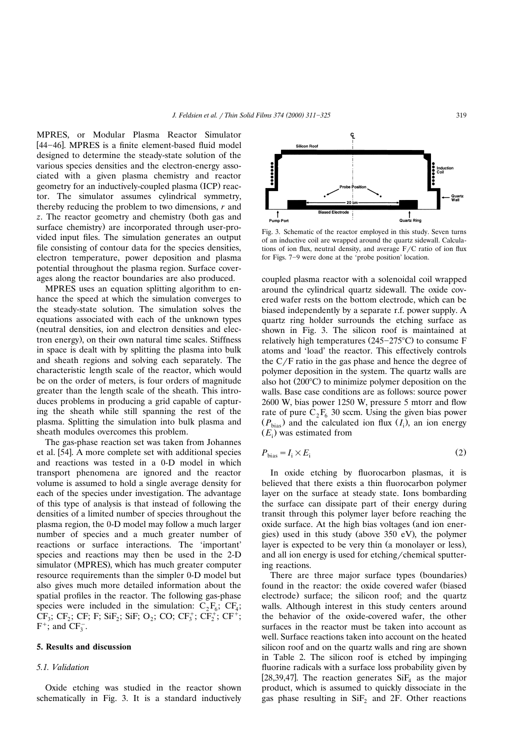MPRES, or Modular Plasma Reactor Simulator [44-46]. MPRES is a finite element-based fluid model designed to determine the steady-state solution of the various species densities and the electron-energy associated with a given plasma chemistry and reactor geometry for an inductively-coupled plasma (ICP) reactor. The simulator assumes cylindrical symmetry, thereby reducing the problem to two dimensions, *r* and *z*. The reactor geometry and chemistry (both gas and surface chemistry) are incorporated through user-provided input files. The simulation generates an output file consisting of contour data for the species densities, electron temperature, power deposition and plasma potential throughout the plasma region. Surface coverages along the reactor boundaries are also produced.

MPRES uses an equation splitting algorithm to enhance the speed at which the simulation converges to the steady-state solution. The simulation solves the equations associated with each of the unknown types (neutral densities, ion and electron densities and electron energy), on their own natural time scales. Stiffness in space is dealt with by splitting the plasma into bulk and sheath regions and solving each separately. The characteristic length scale of the reactor, which would be on the order of meters, is four orders of magnitude greater than the length scale of the sheath. This introduces problems in producing a grid capable of capturing the sheath while still spanning the rest of the plasma. Splitting the simulation into bulk plasma and sheath modules overcomes this problem.

The gas-phase reaction set was taken from Johannes et al. [54]. A more complete set with additional species and reactions was tested in a 0-D model in which transport phenomena are ignored and the reactor volume is assumed to hold a single average density for each of the species under investigation. The advantage of this type of analysis is that instead of following the densities of a limited number of species throughout the plasma region, the 0-D model may follow a much larger number of species and a much greater number of reactions or surface interactions. The 'important' species and reactions may then be used in the 2-D simulator (MPRES), which has much greater computer resource requirements than the simpler 0-D model but also gives much more detailed information about the spatial profiles in the reactor. The following gas-phase species were included in the simulation:  $C_2F_6$ ;  $CF_4$ ;  $CF_3$ ;  $CF_2$ ;  $CF_5$ ;  $F_5$ ;  $SiF_2$ ;  $SiF_5$ ;  $O_2$ ;  $CO$ ;  $CF_3^+$ ;  $CF_2^+$ ;  $CF_3^+$ ;  $F^+$ ; and  $CF_3^-$ .

#### **5. Results and discussion**

# *5.1. Validation*

Oxide etching was studied in the reactor shown schematically in Fig. 3. It is a standard inductively



Fig. 3. Schematic of the reactor employed in this study. Seven turns of an inductive coil are wrapped around the quartz sidewall. Calculations of ion flux, neutral density, and average  $F/C$  ratio of ion flux for Figs. 7–9 were done at the 'probe position' location.

coupled plasma reactor with a solenoidal coil wrapped around the cylindrical quartz sidewall. The oxide covered wafer rests on the bottom electrode, which can be biased independently by a separate r.f. power supply. A quartz ring holder surrounds the etching surface as shown in Fig. 3. The silicon roof is maintained at relatively high temperatures  $(245-275^{\circ}C)$  to consume F atoms and 'load' the reactor. This effectively controls the  $C/F$  ratio in the gas phase and hence the degree of polymer deposition in the system. The quartz walls are also hot  $(200^{\circ}C)$  to minimize polymer deposition on the walls. Base case conditions are as follows: source power 2600 W, bias power 1250 W, pressure 5 mtorr and flow rate of pure  $C_2F_6$  30 sccm. Using the given bias power  $(P_{\text{bias}})$  and the calculated ion flux  $(I_i)$ , an ion energy  $(E_i)$  was estimated from

$$
P_{\text{bias}} = I_i \times E_i \tag{2}
$$

In oxide etching by fluorocarbon plasmas, it is believed that there exists a thin fluorocarbon polymer layer on the surface at steady state. Ions bombarding the surface can dissipate part of their energy during transit through this polymer layer before reaching the oxide surface. At the high bias voltages (and ion energies) used in this study (above  $350 \text{ eV}$ ), the polymer layer is expected to be very thin (a monolayer or less), and all ion energy is used for etching/chemical sputtering reactions.

There are three major surface types (boundaries) found in the reactor: the oxide covered wafer (biased electrode) surface; the silicon roof; and the quartz walls. Although interest in this study centers around the behavior of the oxide-covered wafer, the other surfaces in the reactor must be taken into account as well. Surface reactions taken into account on the heated silicon roof and on the quartz walls and ring are shown in Table 2. The silicon roof is etched by impinging fluorine radicals with a surface loss probability given by [28,39,47]. The reaction generates  $SiF<sub>4</sub>$  as the major product, which is assumed to quickly dissociate in the gas phase resulting in  $SiF<sub>2</sub>$  and 2F. Other reactions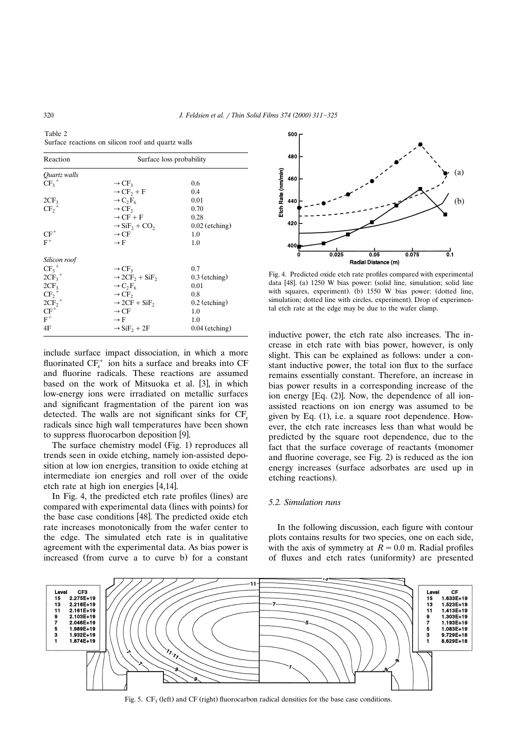Table 2 Surface reactions on silicon roof and quartz walls

| Reaction                    | Surface loss probability                          |                  |  |
|-----------------------------|---------------------------------------------------|------------------|--|
| Quartz walls                |                                                   |                  |  |
| $CF_3^+$                    | $\rightarrow$ CF <sub>3</sub>                     | 0.6              |  |
|                             | $\rightarrow$ CF <sub>2</sub> + F                 | 0.4              |  |
| 2CF <sub>3</sub>            | $\rightarrow C_2F_6$                              | 0.01             |  |
| $CF_2^+$                    | $\rightarrow$ CF <sub>2</sub>                     | 0.70             |  |
|                             | $\rightarrow$ CF + F                              | 0.28             |  |
|                             | $\rightarrow$ SiF <sub>2</sub> + CO <sub>2</sub>  | $0.02$ (etching) |  |
| $CF^+$                      | $\rightarrow$ CF                                  | 1.0              |  |
| $F^+$                       | $\rightarrow$ F                                   | 1.0              |  |
| Silicon roof                |                                                   |                  |  |
| $CF_3^+$                    | $\rightarrow$ CF <sub>3</sub>                     | 0.7              |  |
| $2CF_3^+$                   | $\rightarrow$ 2CF <sub>2</sub> + SiF <sub>2</sub> | $0.3$ (etching)  |  |
| 2CF <sub>3</sub>            | $\rightarrow C_2F_6$                              | 0.01             |  |
| $CF_2^+$                    | $\rightarrow$ CF,                                 | 0.8              |  |
| $2\overline{\text{CF}_2}^+$ | $\rightarrow$ 2CF + SiF,                          | $0.2$ (etching)  |  |
| $CF^+$                      | $\rightarrow$ CF                                  | 1.0              |  |
| $F^+$                       | $\rightarrow$ F                                   | 1.0              |  |
| 4F                          | $\rightarrow$ SiF <sub>2</sub> + 2F               | $0.04$ (etching) |  |

include surface impact dissociation, in which a more fluorinated  $CF<sub>x</sub><sup>+</sup>$  ion hits a surface and breaks into CF and fluorine radicals. These reactions are assumed based on the work of Mitsuoka et al. [3], in which low-energy ions were irradiated on metallic surfaces and significant fragmentation of the parent ion was detected. The walls are not significant sinks for CF*<sup>x</sup>* radicals since high wall temperatures have been shown to suppress fluorocarbon deposition [9].

The surface chemistry model (Fig. 1) reproduces all trends seen in oxide etching, namely ion-assisted deposition at low ion energies, transition to oxide etching at intermediate ion energies and roll over of the oxide etch rate at high ion energies  $[4,14]$ .

In Fig. 4, the predicted etch rate profiles (lines) are compared with experimental data (lines with points) for the base case conditions [48]. The predicted oxide etch rate increases monotonically from the wafer center to the edge. The simulated etch rate is in qualitative agreement with the experimental data. As bias power is increased (from curve a to curve b) for a constant



Fig. 4. Predicted oxide etch rate profiles compared with experimental data [48]. (a) 1250 W bias power: (solid line, simulation; solid line with squares, experiment). (b) 1550 W bias power: (dotted line, simulation; dotted line with circles, experiment). Drop of experimental etch rate at the edge may be due to the wafer clamp.

inductive power, the etch rate also increases. The increase in etch rate with bias power, however, is only slight. This can be explained as follows: under a constant inductive power, the total ion flux to the surface remains essentially constant. Therefore, an increase in bias power results in a corresponding increase of the ion energy  $[Eq. (2)]$ . Now, the dependence of all ionassisted reactions on ion energy was assumed to be given by Eq.  $(1)$ , i.e. a square root dependence. However, the etch rate increases less than what would be predicted by the square root dependence, due to the fact that the surface coverage of reactants (monomer and fluorine coverage, see Fig. 2) is reduced as the ion energy increases (surface adsorbates are used up in etching reactions).

# *5.2. Simulation runs*

In the following discussion, each figure with contour plots contains results for two species, one on each side, with the axis of symmetry at  $\overline{R} = 0.0$  m. Radial profiles of fluxes and etch rates (uniformity) are presented



Fig. 5.  $CF<sub>3</sub>$  (left) and CF (right) fluorocarbon radical densities for the base case conditions.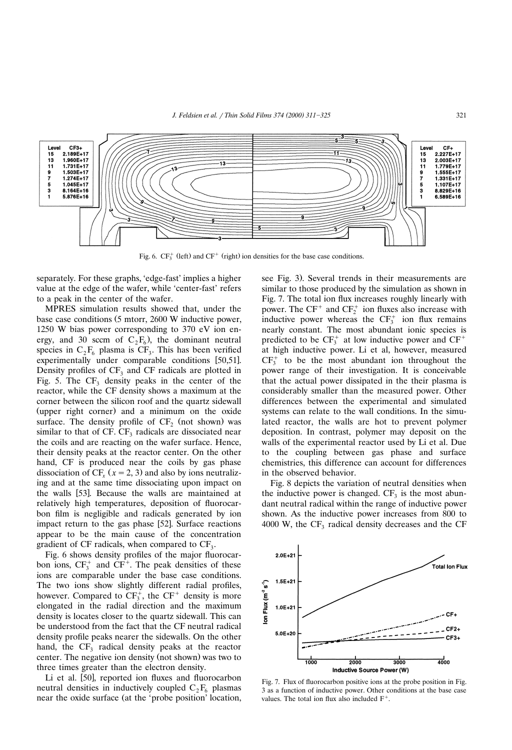

Fig. 6.  $CF_3^+$  (left) and  $CF^+$  (right) ion densities for the base case conditions.

separately. For these graphs, 'edge-fast' implies a higher value at the edge of the wafer, while 'center-fast' refers to a peak in the center of the wafer.

MPRES simulation results showed that, under the base case conditions (5 mtorr, 2600 W inductive power, 1250 W bias power corresponding to 370 eV ion energy, and 30 sccm of  $C_2F_6$ ), the dominant neutral species in  $C_2F_6$  plasma is  $CF_3$ . This has been verified experimentally under comparable conditions [50,51]. Density profiles of  $CF_3$  and  $CF$  radicals are plotted in Fig. 5. The  $CF_3$  density peaks in the center of the reactor, while the CF density shows a maximum at the corner between the silicon roof and the quartz sidewall (upper right corner) and a minimum on the oxide surface. The density profile of  $CF<sub>2</sub>$  (not shown) was similar to that of CF.  $CF<sub>3</sub>$  radicals are dissociated near the coils and are reacting on the wafer surface. Hence, their density peaks at the reactor center. On the other hand, CF is produced near the coils by gas phase dissociation of  $CF<sub>r</sub>$  ( $x = 2, 3$ ) and also by ions neutralizing and at the same time dissociating upon impact on the walls [53]. Because the walls are maintained at relatively high temperatures, deposition of fluorocarbon film is negligible and radicals generated by ion impact return to the gas phase [52]. Surface reactions appear to be the main cause of the concentration gradient of  $CF$  radicals, when compared to  $CF_3$ .

Fig. 6 shows density profiles of the major fluorocarbon ions,  $CF_3^+$  and  $CF^+$ . The peak densities of these ions are comparable under the base case conditions. The two ions show slightly different radial profiles, however. Compared to  $CF_3^+$ , the  $CF^+$  density is more elongated in the radial direction and the maximum density is locates closer to the quartz sidewall. This can be understood from the fact that the CF neutral radical density profile peaks nearer the sidewalls. On the other hand, the  $CF_3$  radical density peaks at the reactor center. The negative ion density (not shown) was two to three times greater than the electron density.

Li et al. [50], reported ion fluxes and fluorocarbon neutral densities in inductively coupled  $C_2F_6$  plasmas near the oxide surface (at the 'probe position' location, see Fig. 3). Several trends in their measurements are similar to those produced by the simulation as shown in Fig. 7. The total ion flux increases roughly linearly with power. The  $CF^+$  and  $CF_2^+$  ion fluxes also increase with inductive power whereas the  $CF<sub>3</sub><sup>+</sup>$  ion flux remains nearly constant. The most abundant ionic species is predicted to be  $CF_3^+$  at low inductive power and  $CF^+$ at high inductive power. Li et al, however, measured  $CF<sub>3</sub><sup>+</sup>$  to be the most abundant ion throughout the power range of their investigation. It is conceivable that the actual power dissipated in the their plasma is considerably smaller than the measured power. Other differences between the experimental and simulated systems can relate to the wall conditions. In the simulated reactor, the walls are hot to prevent polymer deposition. In contrast, polymer may deposit on the walls of the experimental reactor used by Li et al. Due to the coupling between gas phase and surface chemistries, this difference can account for differences in the observed behavior.

Fig. 8 depicts the variation of neutral densities when the inductive power is changed.  $CF<sub>3</sub>$  is the most abundant neutral radical within the range of inductive power shown. As the inductive power increases from 800 to 4000 W, the  $CF_3$  radical density decreases and the CF



Fig. 7. Flux of fluorocarbon positive ions at the probe position in Fig. 3 as a function of inductive power. Other conditions at the base case values. The total ion flux also included  $F^+$ .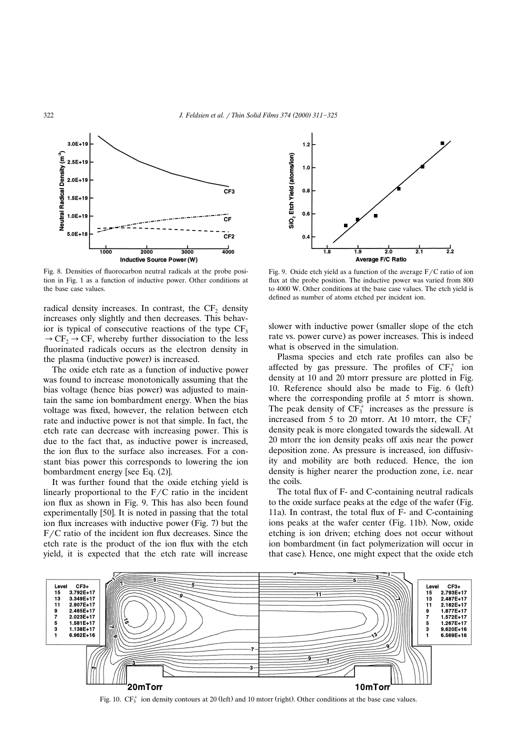

Fig. 8. Densities of fluorocarbon neutral radicals at the probe position in Fig. 1 as a function of inductive power. Other conditions at the base case values.

radical density increases. In contrast, the  $CF<sub>2</sub>$  density increases only slightly and then decreases. This behavior is typical of consecutive reactions of the type  $CF_3$  $\rightarrow$  CF,  $\rightarrow$  CF, whereby further dissociation to the less fluorinated radicals occurs as the electron density in the plasma (inductive power) is increased.

The oxide etch rate as a function of inductive power was found to increase monotonically assuming that the bias voltage (hence bias power) was adjusted to maintain the same ion bombardment energy. When the bias voltage was fixed, however, the relation between etch rate and inductive power is not that simple. In fact, the etch rate can decrease with increasing power. This is due to the fact that, as inductive power is increased, the ion flux to the surface also increases. For a constant bias power this corresponds to lowering the ion bombardment energy [see Eq. (2)].

It was further found that the oxide etching yield is linearly proportional to the  $F/C$  ratio in the incident ion flux as shown in Fig. 9. This has also been found experimentally  $[50]$ . It is noted in passing that the total ion flux increases with inductive power (Fig. 7) but the  $F/C$  ratio of the incident ion flux decreases. Since the etch rate is the product of the ion flux with the etch yield, it is expected that the etch rate will increase



Fig. 9. Oxide etch yield as a function of the average  $F/C$  ratio of ion flux at the probe position. The inductive power was varied from 800 to 4000 W. Other conditions at the base case values. The etch yield is defined as number of atoms etched per incident ion.

slower with inductive power (smaller slope of the etch rate vs. power curve) as power increases. This is indeed what is observed in the simulation.

Plasma species and etch rate profiles can also be affected by gas pressure. The profiles of  $CF_3^+$  ion density at 10 and 20 mtorr pressure are plotted in Fig. 10. Reference should also be made to Fig.  $6$  (left) where the corresponding profile at 5 mtorr is shown. The peak density of  $CF_3^+$  increases as the pressure is increased from 5 to 20 mtorr. At 10 mtorr, the  $CF_3^+$ density peak is more elongated towards the sidewall. At 20 mtorr the ion density peaks off axis near the power deposition zone. As pressure is increased, ion diffusivity and mobility are both reduced. Hence, the ion density is higher nearer the production zone, i.e. near the coils.

The total flux of F- and C-containing neutral radicals to the oxide surface peaks at the edge of the wafer (Fig. 11a). In contrast, the total flux of  $F-$  and C-containing ions peaks at the wafer center (Fig. 11b). Now, oxide etching is ion driven; etching does not occur without ion bombardment (in fact polymerization will occur in that case). Hence, one might expect that the oxide etch



Fig. 10.  $CF_{\tau}^+$  ion density contours at 20 (left) and 10 mtorr (right). Other conditions at the base case values.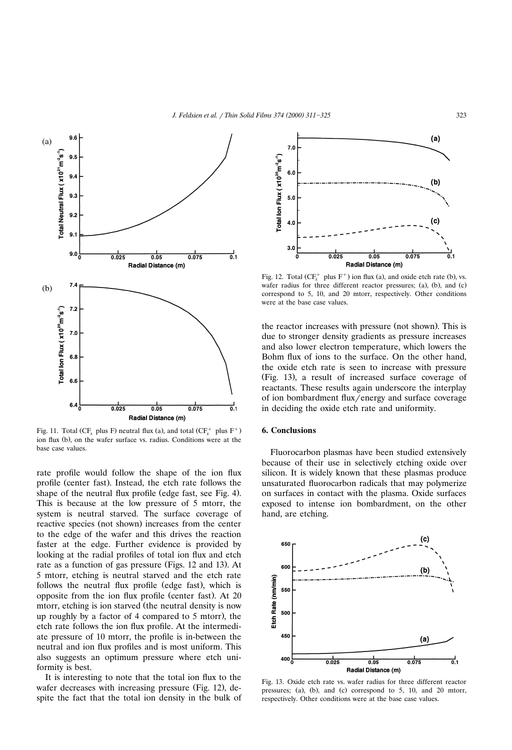



Fig. 11. Total (CF<sub>x</sub> plus F) neutral flux (a), and total (CF<sub>x</sub><sup>+</sup> plus F<sup>+</sup>) ion flux (b), on the wafer surface vs. radius. Conditions were at the base case values.

rate profile would follow the shape of the ion flux profile (center fast). Instead, the etch rate follows the shape of the neutral flux profile (edge fast, see Fig. 4). This is because at the low pressure of 5 mtorr, the system is neutral starved. The surface coverage of reactive species (not shown) increases from the center to the edge of the wafer and this drives the reaction faster at the edge. Further evidence is provided by looking at the radial profiles of total ion flux and etch rate as a function of gas pressure (Figs. 12 and 13). At 5 mtorr, etching is neutral starved and the etch rate follows the neutral flux profile (edge fast), which is opposite from the ion flux profile (center fast). At 20 mtorr, etching is ion starved (the neutral density is now up roughly by a factor of 4 compared to 5 mtorr), the etch rate follows the ion flux profile. At the intermediate pressure of 10 mtorr, the profile is in-between the neutral and ion flux profiles and is most uniform. This also suggests an optimum pressure where etch uniformity is best.

It is interesting to note that the total ion flux to the wafer decreases with increasing pressure (Fig. 12), despite the fact that the total ion density in the bulk of



Fig. 12. Total  $(CF_x^+$  plus  $F^+$ ) ion flux (a), and oxide etch rate (b), vs. wafer radius for three different reactor pressures; (a), (b), and (c) correspond to 5, 10, and 20 mtorr, respectively. Other conditions were at the base case values.

the reactor increases with pressure (not shown). This is due to stronger density gradients as pressure increases and also lower electron temperature, which lowers the Bohm flux of ions to the surface. On the other hand, the oxide etch rate is seen to increase with pressure (Fig. 13), a result of increased surface coverage of reactants. These results again underscore the interplay of ion bombardment flux/energy and surface coverage in deciding the oxide etch rate and uniformity.

## **6. Conclusions**

Fluorocarbon plasmas have been studied extensively because of their use in selectively etching oxide over silicon. It is widely known that these plasmas produce unsaturated fluorocarbon radicals that may polymerize on surfaces in contact with the plasma. Oxide surfaces exposed to intense ion bombardment, on the other hand, are etching.



Fig. 13. Oxide etch rate vs. wafer radius for three different reactor pressures; (a), (b), and (c) correspond to  $5$ ,  $10$ , and  $20$  mtorr, respectively. Other conditions were at the base case values.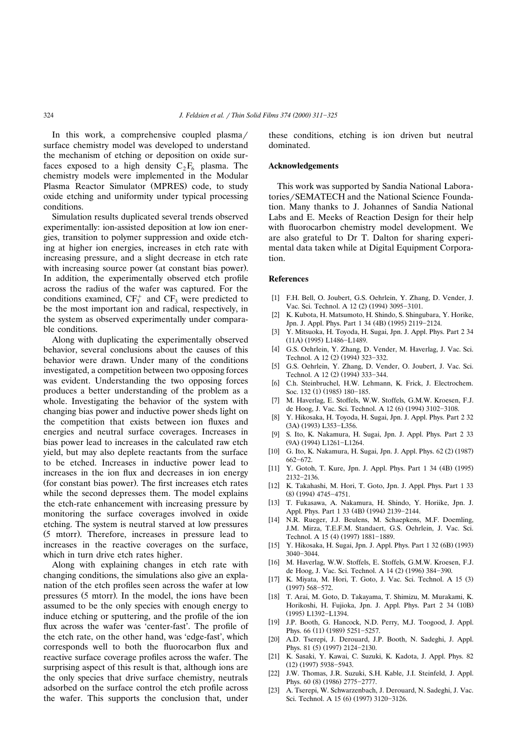In this work, a comprehensive coupled plasma/ surface chemistry model was developed to understand the mechanism of etching or deposition on oxide surfaces exposed to a high density  $C_2F_6$  plasma. The chemistry models were implemented in the Modular Plasma Reactor Simulator (MPRES) code, to study oxide etching and uniformity under typical processing conditions.

Simulation results duplicated several trends observed experimentally: ion-assisted deposition at low ion energies, transition to polymer suppression and oxide etching at higher ion energies, increases in etch rate with increasing pressure, and a slight decrease in etch rate with increasing source power (at constant bias power). In addition, the experimentally observed etch profile across the radius of the wafer was captured. For the conditions examined,  $CF_3^+$  and  $CF_3$  were predicted to be the most important ion and radical, respectively, in the system as observed experimentally under comparable conditions.

Along with duplicating the experimentally observed behavior, several conclusions about the causes of this behavior were drawn. Under many of the conditions investigated, a competition between two opposing forces was evident. Understanding the two opposing forces produces a better understanding of the problem as a whole. Investigating the behavior of the system with changing bias power and inductive power sheds light on the competition that exists between ion fluxes and energies and neutral surface coverages. Increases in bias power lead to increases in the calculated raw etch yield, but may also deplete reactants from the surface to be etched. Increases in inductive power lead to increases in the ion flux and decreases in ion energy (for constant bias power). The first increases etch rates while the second depresses them. The model explains the etch-rate enhancement with increasing pressure by monitoring the surface coverages involved in oxide etching. The system is neutral starved at low pressures  $(5 \text{ motor})$ . Therefore, increases in pressure lead to increases in the reactive coverages on the surface, which in turn drive etch rates higher.

Along with explaining changes in etch rate with changing conditions, the simulations also give an explanation of the etch profiles seen across the wafer at low pressures (5 mtorr). In the model, the ions have been assumed to be the only species with enough energy to induce etching or sputtering, and the profile of the ion flux across the wafer was 'center-fast'. The profile of the etch rate, on the other hand, was 'edge-fast', which corresponds well to both the fluorocarbon flux and reactive surface coverage profiles across the wafer. The surprising aspect of this result is that, although ions are the only species that drive surface chemistry, neutrals adsorbed on the surface control the etch profile across the wafer. This supports the conclusion that, under these conditions, etching is ion driven but neutral dominated.

#### **Acknowledgements**

This work was supported by Sandia National Laboratories/SEMATECH and the National Science Foundation. Many thanks to J. Johannes of Sandia National Labs and E. Meeks of Reaction Design for their help with fluorocarbon chemistry model development. We are also grateful to Dr T. Dalton for sharing experimental data taken while at Digital Equipment Corporation.

#### **References**

- [1] F.H. Bell, O. Joubert, G.S. Oehrlein, Y. Zhang, D. Vender, J. Vac. Sci. Technol. A 12 (2) (1994) 3095-3101.
- [2] K. Kubota, H. Matsumoto, H. Shindo, S. Shingubara, Y. Horike, Jpn. J. Appl. Phys. Part 1 34 (4B) (1995) 2119-2124.
- [3] Y. Mitsuoka, H. Toyoda, H. Sugai, Jpn. J. Appl. Phys. Part 2 34 (11A) (1995) L1486-L1489.
- [4] G.S. Oehrlein, Y. Zhang, D. Vender, M. Haverlag, J. Vac. Sci. Technol. A 12 (2) (1994) 323-332.
- [5] G.S. Oehrlein, Y. Zhang, D. Vender, O. Joubert, J. Vac. Sci. Technol. A 12 (2) (1994) 333-344.
- [6] C.h. Steinbruchel, H.W. Lehmann, K. Frick, J. Electrochem. Soc. 132 (1) (1985) 180-185.
- [7] M. Haverlag, E. Stoffels, W.W. Stoffels, G.M.W. Kroesen, F.J. de Hoog, J. Vac. Sci. Technol. A 12 (6) (1994) 3102-3108.
- [8] Y. Hikosaka, H. Toyoda, H. Sugai, Jpn. J. Appl. Phys. Part 2 32 (3A) (1993) L353-L356.
- [9] S. Ito, K. Nakamura, H. Sugai, Jpn. J. Appl. Phys. Part 2 33 (9A) (1994) L1261-L1264.
- [10] G. Ito, K. Nakamura, H. Sugai, Jpn. J. Appl. Phys. 62 (2) (1987) 662-672.
- [11] Y. Gotoh, T. Kure, Jpn. J. Appl. Phys. Part 1 34 (4B) (1995) 2132-2136.
- [12] K. Takahashi, M. Hori, T. Goto, Jpn. J. Appl. Phys. Part 1 33  $(8)$   $(1994)$   $4745 - 4751$ .
- [13] T. Fukasawa, A. Nakamura, H. Shindo, Y. Horiike, Jpn. J. Appl. Phys. Part 1 33 (4B) (1994) 2139-2144.
- [14] N.R. Rueger, J.J. Beulens, M. Schaepkens, M.F. Doemling, J.M. Mirza, T.E.F.M. Standaert, G.S. Oehrlein, J. Vac. Sci. Technol. A 15 (4) (1997) 1881-1889.
- [15] Y. Hikosaka, H. Sugai, Jpn. J. Appl. Phys. Part 1 32 (6B) (1993)  $3040 - 3044$ .
- [16] M. Haverlag, W.W. Stoffels, E. Stoffels, G.M.W. Kroesen, F.J. de Hoog, J. Vac. Sci. Technol. A 14 (2) (1996) 384-390.
- [17] K. Miyata, M. Hori, T. Goto, J. Vac. Sci. Technol. A 15 (3)  $(1997)$  568-572.
- [18] T. Arai, M. Goto, D. Takayama, T. Shimizu, M. Murakami, K. Horikoshi, H. Fujioka, Jpn. J. Appl. Phys. Part 2 34 (10B) (1995) L1392-L1394.
- [19] J.P. Booth, G. Hancock, N.D. Perry, M.J. Toogood, J. Appl. Phys. 66 (11) (1989) 5251-5257.
- [20] A.D. Tserepi, J. Derouard, J.P. Booth, N. Sadeghi, J. Appl. Phys. 81 (5) (1997) 2124-2130.
- [21] K. Sasaki, Y. Kawai, C. Suzuki, K. Kadota, J. Appl. Phys. 82  $(12)$   $(1997)$  5938-5943.
- [22] J.W. Thomas, J.R. Suzuki, S.H. Kable, J.I. Steinfeld, J. Appl. Phys. 60 (8) (1986) 2775-2777.
- [23] A. Tserepi, W. Schwarzenbach, J. Derouard, N. Sadeghi, J. Vac. Sci. Technol. A 15 (6) (1997) 3120-3126.